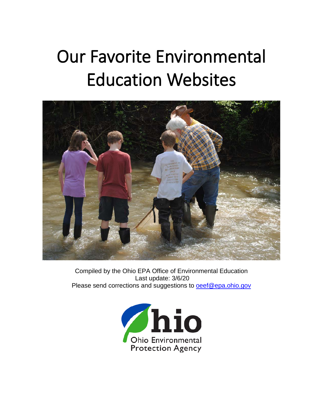# Our Favorite Environmental Education Websites



Compiled by the Ohio EPA Office of Environmental Education Last update: 3/6/20 Please send corrections and suggestions to [oeef@epa.ohio.gov](mailto:oeef@epa.ohio.gov)

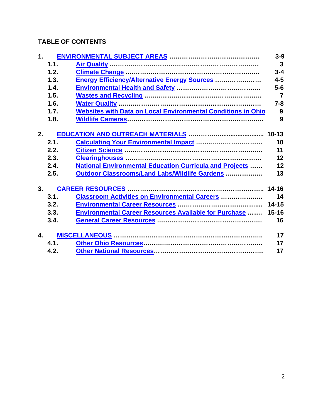# **TABLE OF CONTENTS**

<span id="page-1-0"></span>

| 1. |      |                                                                     |                |
|----|------|---------------------------------------------------------------------|----------------|
|    | 1.1. |                                                                     | $\mathbf{3}$   |
|    | 1.2. |                                                                     | $3 - 4$        |
|    | 1.3. | Energy Efficiency/Alternative Energy Sources                        | $4 - 5$        |
|    | 1.4. |                                                                     | $5-6$          |
|    | 1.5. |                                                                     | $\overline{7}$ |
|    | 1.6. |                                                                     | $7 - 8$        |
|    | 1.7. | <b>Websites with Data on Local Environmental Conditions in Ohio</b> | 9              |
|    | 1.8. |                                                                     | 9              |
| 2. |      |                                                                     |                |
|    | 2.1. | <b>Calculating Your Environmental Impact </b>                       | 10             |
|    | 2.2. |                                                                     | 11             |
|    | 2.3. |                                                                     | 12             |
|    | 2.4. | <b>National Environmental Education Curricula and Projects </b>     | 12             |
|    | 2.5. | Outdoor Classrooms/Land Labs/Wildlife Gardens                       | 13             |
|    |      |                                                                     |                |
| 3. |      |                                                                     | $14 - 16$      |
|    | 3.1. | <b>Classroom Activities on Environmental Careers </b>               | 14             |
|    | 3.2. |                                                                     | $14 - 15$      |
|    | 3.3. | <b>Environmental Career Resources Available for Purchase </b>       | $15 - 16$      |
|    | 3.4. |                                                                     | 16             |
| 4. |      |                                                                     | 17             |
|    | 4.1. |                                                                     | 17             |
|    | 4.2. |                                                                     | 17             |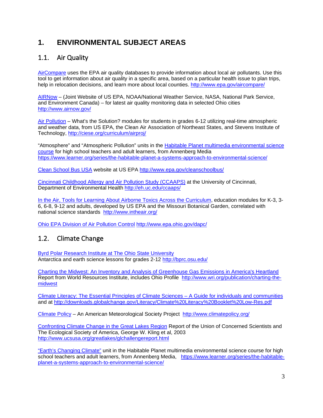# **1. ENVIRONMENTAL SUBJECT AREAS**

#### <span id="page-2-0"></span>1.1. Air Quality

[AirCompare](http://www.epa.gov/aircompare/) uses the EPA air quality databases to provide information about local air pollutants. Use this tool to get information about air quality in a specific area, based on a particular health issue to plan trips, help in relocation decisions, and learn more about local counties.<http://www.epa.gov/aircompare/>

[AIRNow](http://www.airnow.gov/) – (Joint Website of US EPA, NOAA/National Weather Service, NASA, National Park Service, and Environment Canada) – for latest air quality monitoring data in selected Ohio cities <http://www.airnow.gov/>

[Air Pollution](http://ciese.org/curriculum/airproj/) – What's the Solution? modules for students in grades 6-12 utilizing real-time atmospheric and weather data, from US EPA, the Clean Air Association of Northeast States, and Stevens Institute of Technology,<http://ciese.org/curriculum/airproj/>

"Atmosphere" and "Atmospheric Pollution" units in the **Habitable Planet multimedia environmental science** [course](https://www.learner.org/series/the-habitable-planet-a-systems-approach-to-environmental-science/) for high school teachers and adult learners, from Annenberg Media <https://www.learner.org/series/the-habitable-planet-a-systems-approach-to-environmental-science/>

[Clean School Bus USA](http://www.epa.gov/cleanschoolbus/) website at US EPA <http://www.epa.gov/cleanschoolbus/>

[Cincinnati Childhood Allergy and Air Pollution Study \(CCAAPS\)](http://eh.uc.edu/ccaaps/) at the University of Cincinnati, Department of Environmental Health <http://eh.uc.edu/ccaaps/>

[In the Air, Tools for Learning About Airborne Toxics Across the Curriculum,](http://www.intheair.org/) education modules for K-3, 3-6, 6-8, 9-12 and adults, developed by US EPA and the Missouri Botanical Garden, correlated with national science standards <http://www.intheair.org/>

<span id="page-2-1"></span>[Ohio EPA Division of Air Pollution](http://www.epa.ohio.gov/dapc/) Control <http://www.epa.ohio.gov/dapc/>

#### 1.2. Climate Change

[Byrd Polar Research Institute at The Ohio State University](http://bprc.osu.edu/) Antarctica and earth science lessons for grades 2-12 <http://bprc.osu.edu/>

[Charting the Midwest: An Inventory and Analysis](http://www.wri.org/publication/charting-the-midwest) of Greenhouse Gas Emissions in America's Heartland Report from World Resources Institute, includes Ohio Profile [http://www.wri.org/publication/charting-the](http://www.wri.org/publication/charting-the-midwest)[midwest](http://www.wri.org/publication/charting-the-midwest)

Climate Literacy: The [Essential Principles of Climate](http://downloads.globalchange.gov/Literacy/Climate%20Literacy%20Booklet%20Low-Res.pdf) Sciences – A Guide for individuals and communities and at <http://downloads.globalchange.gov/Literacy/Climate%20Literacy%20Booklet%20Low-Res.pdf>

[Climate Policy](http://www.climatepolicy.org/) – An American Meteorological Society Project <http://www.climatepolicy.org/>

[Confronting Climate Change in the Great Lakes Region](http://www.ucsusa.org/greatlakes/glchallengereport.html) Report of the Union of Concerned Scientists and The Ecological Society of America, George W. Kling et al, 2003 <http://www.ucsusa.org/greatlakes/glchallengereport.html>

["Earth's Changing Climate"](https://www.learner.org/series/the-habitable-planet-a-systems-approach-to-environmental-science/) unit in the Habitable Planet multimedia environmental science course for high school teachers and adult learners, from Annenberg Media, [https://www.learner.org/series/the-habitable](https://www.learner.org/series/the-habitable-planet-a-systems-approach-to-environmental-science/)[planet-a-systems-approach-to-environmental-science/](https://www.learner.org/series/the-habitable-planet-a-systems-approach-to-environmental-science/)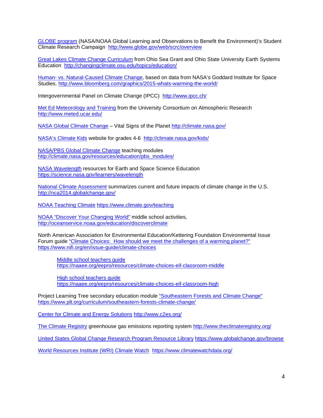[GLOBE program](http://www.globe.gov/web/scrc/overview) (NASA/NOAA Global Learning and Observations to Benefit the Environment)'s Student Climate Research Campaign <http://www.globe.gov/web/scrc/overview>

[Great Lakes Climate Change Curriculum](http://changingclimate.osu.edu/topics/education/) from Ohio Sea Grant and Ohio State University Earth Systems Education <http://changingclimate.osu.edu/topics/education/>

Human- [vs. Natural-Caused Climate Change,](http://www.bloomberg.com/graphics/2015-whats-warming-the-world/) based on data from NASA's G[odd](http://www.bloomberg.com/graphics/2015-whats-warming-the-world/)ard Institute for Space Studies. <http://www.bloomberg.com/graphics/2015-whats-warming-the-world/>

Intergovernmental Panel on Climate Change (IPCC) <http://www.ipcc.ch/>

Met Ed [Meteorology and Training](http://www.meted.ucar.edu/) from the University Consortium on Atmospheric Research <http://www.meted.ucar.edu/>

[NASA Global Climate Change](http://climate.nasa.gov/) – Vital Signs of the Planet <http://climate.nasa.gov/>

[NASA's Climate Kids](http://climate.nasa.gov/kids/) website for grades 4-6 <http://climate.nasa.gov/kids/>

[NASA/PBS Global Climate Change](http://climate.nasa.gov/resources/education/pbs_modules/) teaching modules [http://climate.nasa.gov/resources/education/pbs\\_modules/](http://climate.nasa.gov/resources/education/pbs_modules/)

[NASA Wavelength](https://science.nasa.gov/learners/wavelength) resources for Earth and Space Science Education <https://science.nasa.gov/learners/wavelength>

National Climate [Assessment](http://nca2014.globalchange.gov/) summarizes current and future impacts of climate change in the U.S. <http://nca2014.globalchange.gov/>

[NOAA Teaching Climate](https://www.climate.gov/teaching) <https://www.climate.gov/teaching>

[NOAA "Discover Your Changing World"](http://oceanservice.noaa.gov/education/discoverclimate) middle school activities, <http://oceanservice.noaa.gov/education/discoverclimate>

North American Association for Environmental Education/Kettering Foundation Environmental Issue Forum guide "Climate Choices: How should we [meet the challenges of a warming planet?"](https://www.nifi.org/en/issue-guide/climate-choices) <https://www.nifi.org/en/issue-guide/climate-choices>

[Middle school teachers guide](https://naaee.org/eepro/resources/climate-choices-eif-classroom-middle)  <https://naaee.org/eepro/resources/climate-choices-eif-classroom-middle>

High school [teachers guide](https://naaee.org/eepro/resources/climate-choices-eif-classroom-high) <https://naaee.org/eepro/resources/climate-choices-eif-classroom-high>

Project Learning Tree secondary education module ["Southeastern Forests and Climate Change"](https://www.plt.org/curriculum/southeastern-forests-climate-change/) <https://www.plt.org/curriculum/southeastern-forests-climate-change/>

[Center for Climate and Energy Solutions](http://www.c2es.org/) <http://www.c2es.org/>

[The Climate Registry](http://www.theclimateregistry.org/) greenhouse gas emissions reporting system <http://www.theclimateregistry.org/>

[United States Global Change Research Program Resource Library](https://www.globalchange.gov/browse) <https://www.globalchange.gov/browse>

[World Resources Institute \(WRI\) Climate Watch](https://www.climatewatchdata.org/) <https://www.climatewatchdata.org/>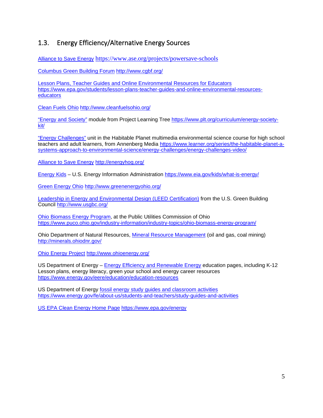#### <span id="page-4-0"></span>1.3. Energy Efficiency/Alternative Energy Sources

[Alliance to Save](https://www.ase.org/projects/powersave-schools) Energy <https://www.ase.org/projects/powersave-schools>

[Columbus Green Building Forum](http://www.cgbf.org/) <http://www.cgbf.org/>

[Lesson Plans, Teacher Guides and Online Environmental Resources for Educators](https://www.epa.gov/students/lesson-plans-teacher-guides-and-online-environmental-resources-educators) [https://www.epa.gov/students/lesson-plans-teacher-guides-and-online-environmental-resources](https://www.epa.gov/students/lesson-plans-teacher-guides-and-online-environmental-resources-educators)[educators](https://www.epa.gov/students/lesson-plans-teacher-guides-and-online-environmental-resources-educators)

[Clean Fuels Ohio](http://www.cleanfuelsohio.org/) <http://www.cleanfuelsohio.org/>

["Energy and Society"](https://www.plt.org/curriculum/energy-society-kit/) module from Project Learning Tree [https://www.plt.org/curriculum/energy-society](https://www.plt.org/curriculum/energy-society-kit/)[kit/](https://www.plt.org/curriculum/energy-society-kit/)

["Energy Challenges"](https://www.learner.org/series/the-habitable-planet-a-systems-approach-to-environmental-science/energy-challenges/energy-challenges-video/) unit in the Habitable Planet multimedia environmental science course for high school teachers and adult learners, from Annenberg Media [https://www.learner.org/series/the-habitable-planet-a](https://www.learner.org/series/the-habitable-planet-a-systems-approach-to-environmental-science/energy-challenges/energy-challenges-video/)[systems-approach-to-environmental-science/energy-challenges/energy-challenges-video/](https://www.learner.org/series/the-habitable-planet-a-systems-approach-to-environmental-science/energy-challenges/energy-challenges-video/)

[Alliance to Save Energy](http://energyhog.org/) <http://energyhog.org/>

[Energy Kids](https://www.eia.gov/kids/what-is-energy/) – U.S. Energy Information Administration <https://www.eia.gov/kids/what-is-energy/>

[Green Energy](http://www.greenenergyohio.org/) Ohio <http://www.greenenergyohio.org/>

Leadership in Energy and Environmental [Design \(LEED Certification\)](http://www.usgbc.org/) from the U.S. Green Building Council <http://www.usgbc.org/>

[Ohio Biomass Energy Program,](https://www.puco.ohio.gov/industry-information/industry-topics/ohio-biomass-energy-program/) at the Public Utilities Commission of Ohio <https://www.puco.ohio.gov/industry-information/industry-topics/ohio-biomass-energy-program/>

Ohio Department of Natural Resources, [Mineral Resource Management](http://minerals.ohiodnr.gov/) (oil and gas, coal mining) <http://minerals.ohiodnr.gov/>

[Ohio Energy Project](http://www.ohioenergy.org/) <http://www.ohioenergy.org/>

US Department of Energy – [Energy Efficiency and Renewable Energy](https://www.energy.gov/eere/education/education-resources) education pages, including K-12 Lesson plans, energy literacy, green your school and energy career resources <https://www.energy.gov/eere/education/education-resources>

US Department of Energy fossil energy study [guides and classroom activities](https://www.energy.gov/fe/about-us/students-and-teachers/study-guides-and-activities) <https://www.energy.gov/fe/about-us/students-and-teachers/study-guides-and-activities>

[US EPA Clean Energy Home Page](https://www.epa.gov/energy) <https://www.epa.gov/energy>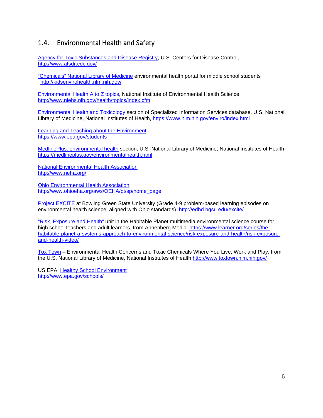#### <span id="page-5-0"></span>1.4. Environmental Health and Safety

Agency for Toxic Substances [and Disease Registry,](http://www.atsdr.cdc.gov/) U.S. Centers for Disease Control, <http://www.atsdr.cdc.gov/>

["Chemicals" National Library of Medicine](http://kidsenvirohealth.nlm.nih.gov/) environmental health portal for middle school students <http://kidsenvirohealth.nlm.nih.gov/>

[Environmental Health A to Z topics,](http://www.niehs.nih.gov/health/topics/index.cfm) National Institute of Environmental Health Science <http://www.niehs.nih.gov/health/topics/index.cfm>

[Environmental Health and Toxicology](https://www.nlm.nih.gov/enviro/index.html) section of Specialized Information Services database, U.S. National Library of Medicine, National Institutes of Health,<https://www.nlm.nih.gov/enviro/index.html>

[Learning and Teaching about the Environment](https://www.epa.gov/students) <https://www.epa.gov/students>

[MedlinePlus: environmental health](https://medlineplus.gov/environmentalhealth.html) section, U.S. National Library of Medicine, National Institutes of Health <https://medlineplus.gov/environmentalhealth.html>

[National Environmental](http://www.neha.org/) Health Association <http://www.neha.org/>

[Ohio Environmental Health Association](http://www.ohioeha.org/aws/OEHA/pt/sp/home_page) [http://www.ohioeha.org/aws/OEHA/pt/sp/home\\_page](http://www.ohioeha.org/aws/OEHA/pt/sp/home_page)

[Project EXCITE](http://edhd.bgsu.edu/excite/) at Bowling Green State University (Grade 4-9 problem-based learning episodes on environmental health science, aligned with Ohio standards) http://edhd.bgsu.edu/excite/

["Risk, Exposure and Health"](https://www.learner.org/series/the-habitable-planet-a-systems-approach-to-environmental-science/risk-exposure-and-health/risk-exposure-and-health-video/) unit in the Habitable Planet multimedia environmental science course for high school teachers and adult learners, from Annenberg Media [https://www.learner.org/series/the](https://www.learner.org/series/the-habitable-planet-a-systems-approach-to-environmental-science/risk-exposure-and-health/risk-exposure-and-health-video/)[habitable-planet-a-systems-approach-to-environmental-science/risk-exposure-and-health/risk-exposure](https://www.learner.org/series/the-habitable-planet-a-systems-approach-to-environmental-science/risk-exposure-and-health/risk-exposure-and-health-video/)[and-health-video/](https://www.learner.org/series/the-habitable-planet-a-systems-approach-to-environmental-science/risk-exposure-and-health/risk-exposure-and-health-video/)

[Tox Town](http://www.toxtown.nlm.nih.gov/) – Environmental Health Concerns and Toxic Chemicals Where You Live, Work and Play, from the U.S. National Library of Medicine, National Institutes of Health <http://www.toxtown.nlm.nih.gov/>

<span id="page-5-1"></span>US EPA, Healthy [School Environment](http://www.epa.gov/schools/) <http://www.epa.gov/schools/>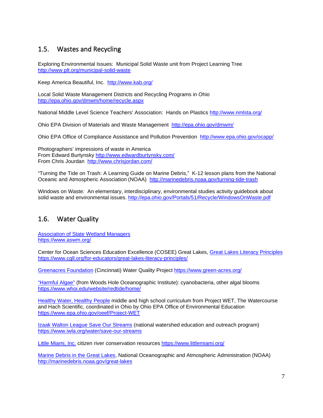### 1.5. Wastes and Recycling

Exploring Environmental Issues: Municipal Solid Waste unit from Project Learning Tree <http://www.plt.org/municipal-solid-waste>

Keep America Beautiful, Inc.<http://www.kab.org/>

Local Solid Waste Management Districts and Recycling Programs in Ohio <http://epa.ohio.gov/dmwm/home/recycle.aspx>

National Middle Level Science Teachers' Association: Hands on Plastics <http://www.nmlsta.org/>

Ohio EPA Division of Materials and Waste Management <http://epa.ohio.gov/dmwm/>

Ohio EPA Office of Compliance Assistance and Pollution Prevention <http://www.epa.ohio.gov/ocapp/>

Photographers' impressions of waste in America From Edward Burtynsky <http://www.edwardburtynsky.com/> From Chris Jourdan <http://www.chrisjordan.com/>

"Turning the Tide on Trash: A Learning Guide on Marine Debris," K-12 lesson plans from the National Oceanic and Atmospheric Association (NOAA) <http://marinedebris.noaa.gov/turning-tide-trash>

Windows on Waste*:* An elementary, interdisciplinary, environmental studies activity guidebook about solid waste and environmental issues. <http://epa.ohio.gov/Portals/51/Recycle/WindowsOnWaste.pdf>

#### <span id="page-6-0"></span>1.6. Water Quality

[Association of State Wetland Managers](https://www.aswm.org/) <https://www.aswm.org/>

Center for Ocean Sciences Education Excellence (COSEE) Great Lakes, [Great Lakes Literacy Principles](https://www.cgll.org/for-educators/great-lakes-literacy-principles/) <https://www.cgll.org/for-educators/great-lakes-literacy-principles/>

[Greenacres](https://www.green-acres.org/) Foundation (Cincinnati) Water Quality Project <https://www.green-acres.org/>

["Harmful Algae"](https://www.whoi.edu/website/redtide/home/) (from Woods Hole Oceanographic Institute): cyanobacteria, other algal blooms <https://www.whoi.edu/website/redtide/home/>

[Healthy Water, Healthy People](https://www.epa.ohio.gov/oeef/Project-WET) middle and high school curriculum from Project WET, The Watercourse and Hach Scientific, coordinated in Ohio by Ohio EPA Office of Environmental Education <https://www.epa.ohio.gov/oeef/Project-WET>

**[Izaak Walton League Save Our Streams](https://www.iwla.org/water/save-our-streams)** (national watershed education and outreach program) <https://www.iwla.org/water/save-our-streams>

[Little Miami, Inc.](https://www.littlemiami.org/) citizen river conservation resources <https://www.littlemiami.org/>

[Marine Debris in the Great Lakes,](http://marinedebris.noaa.gov/great-lakes) National Oceanographic and Atmospheric Administration (NOAA) <http://marinedebris.noaa.gov/great-lakes>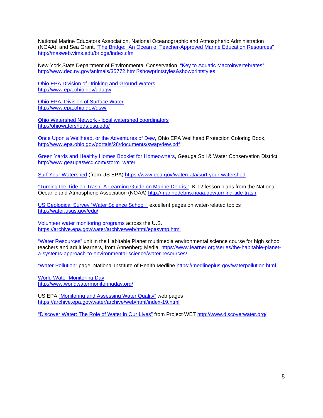National Marine Educators Association, National Oceanographic and Atmospheric Administration (NOAA), and Sea Grant, "The Bridge: An Ocean of [Teacher-Approved Marine Education Resources"](http://masweb.vims.edu/bridge/index.cfm) <http://masweb.vims.edu/bridge/index.cfm>

New York State Department of Environmental Conservation, ["Key to Aquatic Macroinvertebrates"](http://www.dec.ny.gov/animals/35772.html?showprintstyles&showprintstyles) <http://www.dec.ny.gov/animals/35772.html?showprintstyles&showprintstyles>

[Ohio EPA Division of Drinking and Ground](http://www.epa.ohio.gov/ddagw) Waters <http://www.epa.ohio.gov/ddagw>

[Ohio EPA, Division of Surface](http://www.epa.ohio.gov/dsw/) Water <http://www.epa.ohio.gov/dsw/>

Ohio Watershed Network - [local watershed coordinators](http://ohiowatersheds.osu.edu/) <http://ohiowatersheds.osu.edu/>

[Once Upon a Wellhead, or the Adventures of Dew,](http://www.epa.ohio.gov/portals/28/documents/swap/dew.pdf) Ohio EPA Wellhead Protection Coloring Book, <http://www.epa.ohio.gov/portals/28/documents/swap/dew.pdf>

[Green Yards and Healthy Homes Booklet for Homeowners,](http://www.geaugaswcd.com/storm_water) Geauga Soil & Water Conservation District [http://www.geaugaswcd.com/storm\\_water](http://www.geaugaswcd.com/storm_water)

[Surf Your Watershed](https://www.epa.gov/waterdata/surf-your-watershed) (from US EPA) <https://www.epa.gov/waterdata/surf-your-watershed>

["Turning the Tide on Trash: A Learning Guide on Marine Debris,"](http://marinedebris.noaa.gov/turning-tide-trash) K-12 lesson plans from the National Oceanic and Atmospheric Association (NOAA) <http://marinedebris.noaa.gov/turning-tide-trash>

[US Geological Survey "Water Science](https://www.usgs.gov/special-topic/water-science-school) School": excellent pages on water-related topics <http://water.usgs.gov/edu/>

[Volunteer water monitoring programs](https://archive.epa.gov/water/archive/web/html/epasvmp.html) across the U.S. <https://archive.epa.gov/water/archive/web/html/epasvmp.html>

["Water Resources"](https://www.learner.org/series/the-habitable-planet-a-systems-approach-to-environmental-science/water-resources/) unit in the Habitable Planet multimedia environmental science course for high school teachers and adult learners, from Annenberg Media, [https://www.learner.org/series/the-habitable-planet](https://www.learner.org/series/the-habitable-planet-a-systems-approach-to-environmental-science/water-resources/)[a-systems-approach-to-environmental-science/water-resources/](https://www.learner.org/series/the-habitable-planet-a-systems-approach-to-environmental-science/water-resources/)

["Water Pollution"](https://medlineplus.gov/waterpollution.html) page, National Institute of Health Medline <https://medlineplus.gov/waterpollution.html>

[World Water Monitoring Day](http://www.worldwatermonitoringday.org/) <http://www.worldwatermonitoringday.org/>

US EPA "Monitoring and [Assessing Water Quality"](https://archive.epa.gov/water/archive/web/html/index-19.html) web pages <https://archive.epa.gov/water/archive/web/html/index-19.html>

<span id="page-7-0"></span>"Discover Water: [The Role of Water in Our Lives"](http://www.discoverwater.org/) from Project WET<http://www.discoverwater.org/>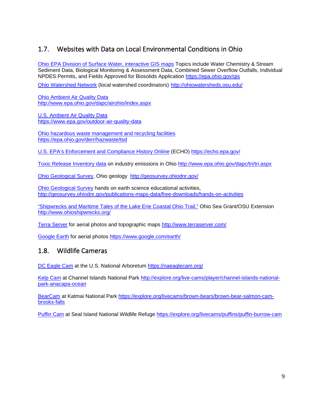### 1.7. Websites with Data on Local Environmental Conditions in Ohio

Ohio EPA [Division of Surface Water, interactive GIS maps](https://epa.ohio.gov/gis) Topics include [Water Chemistry & Stream](http://www.epa.state.oh.us/dsw/gis/wq/index.php) [Sediment](http://www.epa.state.oh.us/dsw/gis/wq/index.php) Data, [Biological Monitoring](http://www.epa.state.oh.us/dsw/gis/bio/index.php) & Assessment Data, [Combined Sewer Overflow Outfalls,](http://www.epa.state.oh.us/dsw/gis/cso/index.php) [Individual](http://www.epa.state.oh.us/dsw/gis/npdes/index.php)  [NPDES Permits,](http://www.epa.state.oh.us/dsw/gis/npdes/index.php) and [Fields Approved for Biosolids Application](http://www.epa.state.oh.us/dsw/gis/sludge/index.php) <https://epa.ohio.gov/gis>

[Ohio Watershed Network](http://ohiowatersheds.osu.edu/) (local watershed coordinators) <http://ohiowatersheds.osu.edu/>

[Ohio Ambient Air Quality Data](http://www.epa.ohio.gov/dapc/airohio/index.aspx) <http://www.epa.ohio.gov/dapc/airohio/index.aspx>

[U.S. Ambient Air Quality Data](https://www.epa.gov/outdoor-air-quality-data) <https://www.epa.gov/outdoor-air-quality-data>

Ohio hazardous waste management [and recycling facilities](https://epa.ohio.gov/derr/hazwaste/tsd) <https://epa.ohio.gov/derr/hazwaste/tsd>

[U.S. EPA's Enforcement and Compliance History Online](https://echo.epa.gov/) (ECHO) <https://echo.epa.gov/>

[Toxic Release Inventory](https://www.epa.ohio.gov/dapc/tri/tri) data on industry emissions in Ohio <http://www.epa.ohio.gov/dapc/tri/tri.aspx>

[Ohio Geological Survey,](http://geosurvey.ohiodnr.gov/) Ohio geology <http://geosurvey.ohiodnr.gov/>

[Ohio Geological Survey](http://geosurvey.ohiodnr.gov/publications-maps-data/free-downloads/hands-on-activities) hands on earth science educational activities, <http://geosurvey.ohiodnr.gov/publications-maps-data/free-downloads/hands-on-activities>

["Shipwrecks and Maritime Tales of the Lake Erie Coastal Ohio Trail,"](http://www.ohioshipwrecks.org/) Ohio Sea Grant/OSU Extension <http://www.ohioshipwrecks.org/>

[Terra Server](https://www.terraserver.com/) for aerial photos and topographic maps <http://www.terraserver.com/>

<span id="page-8-0"></span>[Google Earth](https://www.google.com/earth/) for aerial photos <https://www.google.com/earth/>

#### 1.8. Wildlife Cameras

[DC Eagle Cam](https://naeaglecam.org/) at the U.S. National Arboretum <https://naeaglecam.org/>

[Kelp Cam](https://explore.org/livecams/kelp-forest/channel-islands-national-park-anacapa-ocean) at Channel Islands National Park [http://explore.org/live-cams/player/channel-islands-national](http://explore.org/live-cams/player/channel-islands-national-park-anacapa-ocean)[park-anacapa-ocean](http://explore.org/live-cams/player/channel-islands-national-park-anacapa-ocean)

[BearCam](https://explore.org/livecams/brown-bears/brown-bear-salmon-cam-brooks-falls) at Katmai National Park [https://explore.org/livecams/brown-bears/brown-bear-salmon-cam](https://explore.org/livecams/brown-bears/brown-bear-salmon-cam-brooks-falls)[brooks-falls](https://explore.org/livecams/brown-bears/brown-bear-salmon-cam-brooks-falls)

[Puffin Cam](https://explore.org/livecams/puffins/puffin-burrow-cam) at Seal Island National Wildlife Refuge <https://explore.org/livecams/puffins/puffin-burrow-cam>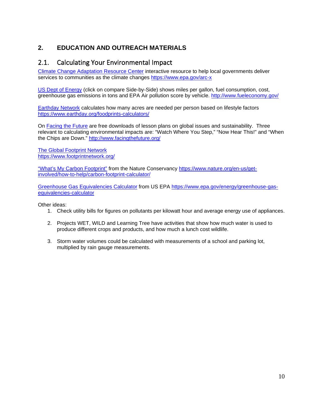#### <span id="page-9-1"></span><span id="page-9-0"></span>**2. EDUCATION AND OUTREACH MATERIALS**

#### 2.1. Calculating Your Environmental Impact

[Climate Change Adaptation Resource Center](https://www.epa.gov/arc-x) interactive resource to help local governments deliver services to communities as the climate changes<https://www.epa.gov/arc-x>

[US Dept of Energy](http://www.fueleconomy.gov/) (click on compare Side-by-Side) shows miles per gallon, fuel consumption, cost, greenhouse gas emissions in tons and EPA Air pollution score by vehicle. <http://www.fueleconomy.gov/>

[Earthday Network](https://www.earthday.org/foodprints-calculators/) calculates how many acres are needed per person based on lifestyle factors <https://www.earthday.org/foodprints-calculators/>

On [Facing the Future](https://www.facingthefuture.org/) are free downloads of lesson plans on global issues and sustainability. Three relevant to calculating environmental impacts are: "Watch Where You Step," "Now Hear This!" and "When the Chips are Down." <http://www.facingthefuture.org/>

[The Global Footprint Network](https://www.footprintnetwork.org/) <https://www.footprintnetwork.org/>

["What's My Carbon](https://www.nature.org/en-us/get-involved/how-to-help/carbon-footprint-calculator/) Footprint" from the Nature Conservancy [https://www.nature.org/en-us/get](https://www.nature.org/en-us/get-involved/how-to-help/carbon-footprint-calculator/)[involved/how-to-help/carbon-footprint-calculator/](https://www.nature.org/en-us/get-involved/how-to-help/carbon-footprint-calculator/)

[Greenhouse Gas Equivalencies Calculator](https://www.nature.org/en-us/get-involved/how-to-help/carbon-footprint-calculator/) from US EPA [https://www.epa.gov/energy/greenhouse-gas](https://www.epa.gov/energy/greenhouse-gas-equivalencies-calculator)[equivalencies-calculator](https://www.epa.gov/energy/greenhouse-gas-equivalencies-calculator)

Other ideas:

- 1. Check utility bills for figures on pollutants per kilowatt hour and average energy use of appliances.
- 2. Projects WET, WILD and Learning Tree have activities that show how much water is used to produce different crops and products, and how much a lunch cost wildlife.
- <span id="page-9-2"></span>3. Storm water volumes could be calculated with measurements of a school and parking lot, multiplied by rain gauge measurements.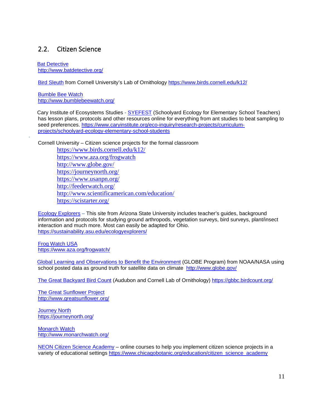#### 2.2. Citizen Science

**Bat Detective** <http://www.batdetective.org/>

[Bird Sleuth](https://www.birds.cornell.edu/k12/) from Cornell University's Lab of Ornithology<https://www.birds.cornell.edu/k12/>

[Bumble Bee Watch](https://www.bumblebeewatch.org/) <http://www.bumblebeewatch.org/>

·

 Cary Institute of Ecosystems Studies - [SYEFEST](https://www.caryinstitute.org/eco-inquiry/research-projects/curriculum-projects/schoolyard-ecology-elementary-school-students) (Schoolyard Ecology for Elementary School Teachers) has lesson plans, protocols and other resources online for everything from ant studies to beat sampling to seed preferences. [https://www.caryinstitute.org/eco-inquiry/research-projects/curriculum](https://www.caryinstitute.org/eco-inquiry/research-projects/curriculum-projects/schoolyard-ecology-elementary-school-students)[projects/schoolyard-ecology-elementary-school-students](https://www.caryinstitute.org/eco-inquiry/research-projects/curriculum-projects/schoolyard-ecology-elementary-school-students)

Cornell University – Citizen science projects for the formal classroom

<https://www.birds.cornell.edu/k12/> <https://www.aza.org/frogwatch> <http://www.globe.gov/> <https://journeynorth.org/> <https://www.usanpn.org/> <http://feederwatch.org/> <http://www.scientificamerican.com/education/> <https://scistarter.org/>

[Ecology Explorers](https://sustainability.asu.edu/ecologyexplorers/) – This site from Arizona State University includes teacher's guides, background information and protocols for studying ground arthropods, vegetation surveys, bird surveys, plant/insect interaction and much more. Most can easily be adapted for Ohio. <https://sustainability.asu.edu/ecologyexplorers/>

[Frog Watch USA](https://www.aza.org/frogwatch/) <https://www.aza.org/frogwatch/>

 [Global Learning and Observations to Benefit the Environment](http://www.globe.gov/) (GLOBE Program) from NOAA/NASA using school posted data as ground truth for satellite data on climate <http://www.globe.gov/>

[The Great Backyard Bird Count](https://gbbc.birdcount.org/) (Audubon and Cornell Lab of Ornithology) <https://gbbc.birdcount.org/>

[The Great Sunflower Project](https://www.greatsunflower.org/) <http://www.greatsunflower.org/>

[Journey North](https://journeynorth.org/) <https://journeynorth.org/>

[Monarch Watch](https://www.monarchwatch.org/) <http://www.monarchwatch.org/>

[NEON Citizen Science Academy](https://www.chicagobotanic.org/education/citizen_science_academy) – online courses to help you implement citizen science projects in a variety of educational settings [https://www.chicagobotanic.org/education/citizen\\_science\\_academy](https://www.chicagobotanic.org/education/citizen_science_academy)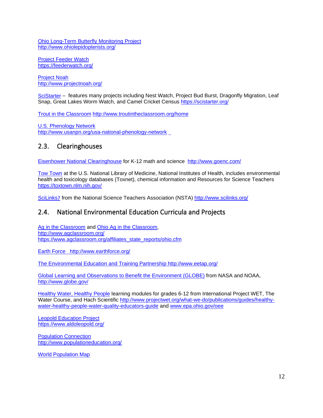[Ohio Long-Term Butterfly](http://www.ohiolepidopterists.org/) Monitoring Project <http://www.ohiolepidopterists.org/>

[Project Feeder Watch](https://feederwatch.org/) <https://feederwatch.org/>

[Project Noah](https://www.projectnoah.org/) <http://www.projectnoah.org/>

[SciStarter](https://scistarter.org/) – features many projects including Nest Watch, Project Bud Burst, Dragonfly Migration, Leaf Snap, Great Lakes Worm Watch, and Camel Cricket Census <https://scistarter.org/>

[Trout in the Classroom](http://www.troutintheclassroom.org/home) <http://www.troutintheclassroom.org/home>

[U.S. Phenology Network](http://www.usanpn.org/usa-national-phenology-network) <http://www.usanpn.org/usa-national-phenology-network>

#### <span id="page-11-0"></span>2.3. Clearinghouses

Eisenhower [National Clearinghouse](http://www.goenc.com/) for K-12 math and science <http://www.goenc.com/>

Tow [Town](https://toxtown.nlm.nih.gov/) at the U.S. National Library of Medicine, National Institutes of Health, includes environmental health and toxicology databases (Toxnet), chemical information and Resources for Science Teachers <https://toxtown.nlm.nih.gov/>

<span id="page-11-1"></span>[SciLinks](http://www.scilinks.org/)7 from the National Science Teachers Association (NSTA)<http://www.scilinks.org/>

#### 2.4. National Environmental Education Curricula and Projects

[Ag in the Classroom](http://www.agclassroom.org/) and [Ohio Ag in the Classroom,](https://www.agclassroom.org/affiliates_state_reports/ohio.cfm) <http://www.agclassroom.org/> [https://www.agclassroom.org/affiliates\\_state\\_reports/ohio.cfm](https://www.agclassroom.org/affiliates_state_reports/ohio.cfm)

Earth Force http://www.earthforce.org/

[The Environmental Education and Training Partnership](http://www.eetap.org/) http://www.eetap.org/

[Global Learning and Observations to Benefit the Environment](http://www.globe.gov/) (GLOBE) from NASA and NOAA, <http://www.globe.gov/>

[Healthy Water, Healthy People](http://www.projectwet.org/what-we-do/publications/guides/healthy-water-healthy-people-water-quality-educators-guide) learning modules for grades 6-12 from International Project WET, The Water Course, and Hach Scientific [http://www.projectwet.org/what-we-do/publications/guides/healthy](http://www.projectwet.org/what-we-do/publications/guides/healthy-water-healthy-people-water-quality-educators-guide)[water-healthy-people-water-quality-educators-guide](http://www.projectwet.org/what-we-do/publications/guides/healthy-water-healthy-people-water-quality-educators-guide) and [www.epa.ohio.gov/oee](http://www.epa.ohio.gov/oee)

[Leopold Education Project](https://www.aldoleopold.org/) <https://www.aldoleopold.org/>

Population [Connection](http://www.populationeducation.org/) <http://www.populationeducation.org/>

[World Population Map](http://www.populationeducation.org/content/world-population-video?utm_source=Campaign+Created+2013%2F10%2F16%2C+3%3A11+PM&utm_campaign=Contact+Email&utm_medium=email)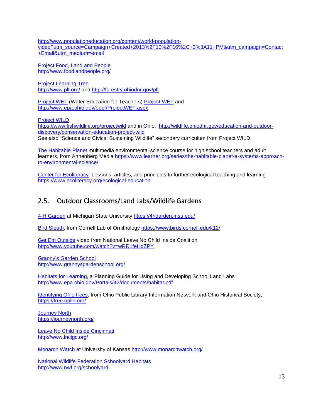[http://www.populationeducation.org/content/world-population](http://www.populationeducation.org/content/world-population-video?utm_source=Campaign+Created+2013%2F10%2F16%2C+3%3A11+PM&utm_campaign=Contact+Email&utm_medium=email)[video?utm\\_source=Campaign+Created+2013%2F10%2F16%2C+3%3A11+PM&utm\\_campaign=Contact](http://www.populationeducation.org/content/world-population-video?utm_source=Campaign+Created+2013%2F10%2F16%2C+3%3A11+PM&utm_campaign=Contact+Email&utm_medium=email) [+Email&utm\\_medium=email](http://www.populationeducation.org/content/world-population-video?utm_source=Campaign+Created+2013%2F10%2F16%2C+3%3A11+PM&utm_campaign=Contact+Email&utm_medium=email)

[Project Food, Land and People](http://www.foodlandpeople.org/) <http://www.foodlandpeople.org/>

[Project Learning Tree](http://www.plt.org/) <http://www.plt.org/> and <http://forestry.ohiodnr.gov/plt>

[Project WET](http://www.projectwet.org/) (Water Education for Teachers) [Project WET](http://www.projectwet.org/) and <http://www.epa.ohio.gov/oeef/ProjectWET.aspx>

[Project](https://www.fishwildlife.org/projectwild) WILD

<https://www.fishwildlife.org/projectwild> and in Ohio: [http://wildlife.ohiodnr.gov/education-and-outdoor](http://wildlife.ohiodnr.gov/education-and-outdoor-discovery/conservation-education-project-wild)[discovery/conservation-education-project-wild](http://wildlife.ohiodnr.gov/education-and-outdoor-discovery/conservation-education-project-wild) See also "Science and Civics: Sustaining Wildlife" secondary curriculum from Project WILD

[The Habitable Planet](https://www.learner.org/series/the-habitable-planet-a-systems-approach-to-environmental-science/) multimedia environmental science course for high school teachers and adult learners, from Annenberg Media [https://www.learner.org/series/the-habitable-planet-a-systems-approach](https://www.learner.org/series/the-habitable-planet-a-systems-approach-to-environmental-science/)[to-environmental-science/](https://www.learner.org/series/the-habitable-planet-a-systems-approach-to-environmental-science/)

[Center for Ecoliteracy:](https://www.ecoliteracy.org/ecological-education) Lessons, articles, and principles to further ecological teaching and learning <https://www.ecoliteracy.org/ecological-education>

## <span id="page-12-0"></span>2.5. Outdoor Classrooms/Land Labs/Wildlife Gardens

[4-H Garden](https://4hgarden.msu.edu/) at Michigan State University <https://4hgarden.msu.edu/>

[Bird Sleuth,](https://www.birds.cornell.edu/k12/) from Cornell Lab of Ornithology<https://www.birds.cornell.edu/k12/>

[Get Em Outside](http://www.youtube.com/watch?v=wRR1feHqZPY) video from National Leave No Child Inside Coalition <http://www.youtube.com/watch?v=wRR1feHqZPY>

[Granny's Garden School](http://www.grannysgardenschool.org/) <http://www.grannysgardenschool.org/>

[Habitats for Learning,](http://www.epa.ohio.gov/Portals/42/documents/habitat.pdf) a Planning Guide for Using and Developing School Land Labs <http://www.epa.ohio.gov/Portals/42/documents/habitat.pdf>

[Identifying Ohio trees,](https://tree.oplin.org/) from Ohio Public Library Information Network and Ohio Historical Society, <https://tree.oplin.org/>

**Journey North** https://journeynorth.org/

[Leave No Child Inside Cincinnati](http://www.lncigc.org/)  <http://www.lncigc.org/>

[Monarch Watch](http://www.monarchwatch.org/) at University of Kansas<http://www.monarchwatch.org/>

[National Wildlife Federation Schoolyard Habitats](http://www.nwf.org/schoolyard) <http://www.nwf.org/schoolyard>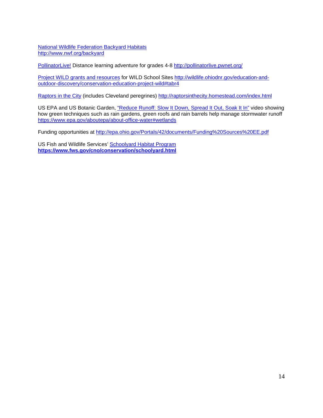[National Wildlife Federation Backyard Habitats](http://www.nwf.org/backyard) <http://www.nwf.org/backyard>

[PollinatorLive!](http://pollinatorlive.pwnet.org/) Distance learning adventure for grades 4-8<http://pollinatorlive.pwnet.org/>

[Project WILD grants and resources](http://wildlife.ohiodnr.gov/education-and-outdoor-discovery/conservation-education-project-wild#tabr4) for WILD School Sites [http://wildlife.ohiodnr.gov/education-and](http://wildlife.ohiodnr.gov/education-and-outdoor-discovery/conservation-education-project-wild#tabr4)[outdoor-discovery/conservation-education-project-wild#tabr4](http://wildlife.ohiodnr.gov/education-and-outdoor-discovery/conservation-education-project-wild#tabr4)

[Raptors in the City](http://raptorsinthecity.homestead.com/index.html) (includes Cleveland peregrines) <http://raptorsinthecity.homestead.com/index.html>

US EPA and US Botanic Garden, ["Reduce Runoff: Slow It Down, Spread It Out, Soak It In"](https://www.epa.gov/aboutepa/about-office-water#wetlands) video showing how green techniques such as rain gardens, green roofs and rain barrels help manage stormwater runoff <https://www.epa.gov/aboutepa/about-office-water#wetlands>

Funding opportunities at<http://epa.ohio.gov/Portals/42/documents/Funding%20Sources%20EE.pdf>

<span id="page-13-0"></span>US Fish and Wildlife Services' [Schoolyard Habitat Program](https://www.fws.gov/cno/conservation/schoolyard.html) **<https://www.fws.gov/cno/conservation/schoolyard.html>**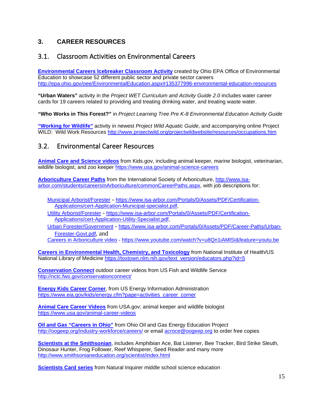#### <span id="page-14-0"></span>**3. CAREER RESOURCES**

#### 3.1. Classroom Activities on Environmental Careers

**[Environmental Careers Icebreaker Classroom Activity](http://epa.ohio.gov/oee/EnvironmentalEducation.aspx#135377996-environmental-education-resources)** created by Ohio EPA Office of Environmental Education to showcase 52 different public sector and private sector careers <http://epa.ohio.gov/oee/EnvironmentalEducation.aspx#135377996-environmental-education-resources>

**"Urban Waters"** activity in the *Project WET Curriculum and Activity Guide 2.0* includes water career cards for 19 careers related to providing and treating drinking water, and treating waste water.

**"Who Works in This Forest?"** in *Project Learning Tree Pre K-8 Environmental Education Activity Guide*

**"Working [for Wildlife"](http://www.projectwild.org/projectwildwebsite/resources/occupations.htm)** activity in newest *Project Wild Aquatic Guide*, and accompanying online Project WILD: Wild Work Resources <http://www.projectwild.org/projectwildwebsite/resources/occupations.htm>

#### <span id="page-14-2"></span><span id="page-14-1"></span>3.2. Environmental Career Resources

**[Animal Care and Science videos](https://www.usa.gov/animal-science-careers)** from Kids.gov, including animal keeper, marine biologist, veterinarian, wildlife biologist, and zoo keeper https://www.usa.gov/animal-science-careers

**[Arboriculture Career Paths](http://www.isa-arbor.com/students/careersInArboriculture/commonCareerPaths.aspx)** from the International Society of Arboriculture, [http://www.isa](http://www.isa-arbor.com/students/careersInArboriculture/commonCareerPaths.aspx)[arbor.com/students/careersInArboriculture/commonCareerPaths.aspx,](http://www.isa-arbor.com/students/careersInArboriculture/commonCareerPaths.aspx) with job descriptions for:

[Municipal Arborist/Forester](https://www.isa-arbor.com/Portals/0/Assets/PDF/Certification-Applications/cert-Application-Municipal-specialist.pdf) - [https://www.isa-arbor.com/Portals/0/Assets/PDF/Certification-](https://www.isa-arbor.com/Portals/0/Assets/PDF/Certification-Applications/cert-Application-Municipal-specialist.pdf)[Applications/cert-Application-Municipal-specialist.pdf,](https://www.isa-arbor.com/Portals/0/Assets/PDF/Certification-Applications/cert-Application-Municipal-specialist.pdf)

[Utility Arborist/Forester](https://www.isa-arbor.com/Portals/0/Assets/PDF/Certification-Applications/cert-Application-Utility-Specialist.pdf) - [https://www.isa-arbor.com/Portals/0/Assets/PDF/Certification-](https://www.isa-arbor.com/Portals/0/Assets/PDF/Certification-Applications/cert-Application-Utility-Specialist.pdf)[Applications/cert-Application-Utility-Specialist.pdf,](https://www.isa-arbor.com/Portals/0/Assets/PDF/Certification-Applications/cert-Application-Utility-Specialist.pdf)

[Urban Forester/Government](https://www.isa-arbor.com/Portals/0/Assets/PDF/Career-Paths/Urban-Forester-Govt.pdf) - [https://www.isa-arbor.com/Portals/0/Assets/PDF/Career-Paths/Urban-](https://www.isa-arbor.com/Portals/0/Assets/PDF/Career-Paths/Urban-Forester-Govt.pdf)[Forester-Govt.pdf](https://www.isa-arbor.com/Portals/0/Assets/PDF/Career-Paths/Urban-Forester-Govt.pdf), and

Careers in Arboriculture video - <https://www.youtube.com/watch?v=u8Qn1iAMlSI&feature=youtu.be>

**[Careers in Environmental Health, Chemistry, and Toxicology](https://toxtown.nlm.nih.gov/text_version/educators.php?id=5)** from National Institute of Health/US National Library of Medicine [https://toxtown.nlm.nih.gov/text\\_version/educators.php?id=5](https://toxtown.nlm.nih.gov/text_version/educators.php?id=5)

**[Conservation Connect](http://nctc.fws.gov/conservationconnect/)** outdoor career videos from US Fish and Wildlife Service <http://nctc.fws.gov/conservationconnect/>

**[Energy Kids Career Corner](https://www.eia.gov/kids/energy.cfm?page=activities_career_corner)**, from US Energy Information Administration [https://www.eia.gov/kids/energy.cfm?page=activities\\_career\\_corner](https://www.eia.gov/kids/energy.cfm?page=activities_career_corner)

**[Animal Care Career Videos](https://www.usa.gov/animal-career-videos)** from USA.gov; animal keeper and wildlife biologist <https://www.usa.gov/animal-career-videos>

**[Oil and Gas "Careers in Ohio"](http://oogeep.org/industry-workforce/careers/)** from Ohio Oil and Gas Energy Education Project <http://oogeep.org/industry-workforce/careers/> or email [acroce@oogeep.org](mailto:acroce@oogeep.org) to order free copies

**[Scientists at the Smithsonian](http://www.smithsonianeducation.org/scientist/index.html)**, includes Amphibian Ace, Bat Listener, Bee Tracker, Bird Strike Sleuth, Dinosaur Hunter, Frog Follower, Reef Whisperer, Seed Reader and many more <http://www.smithsonianeducation.org/scientist/index.html>

**[Scientists Card series](http://www.naturalinquirer.org/Scientist-Card-Series-v-168.html)** from Natural Inquirer middle school science education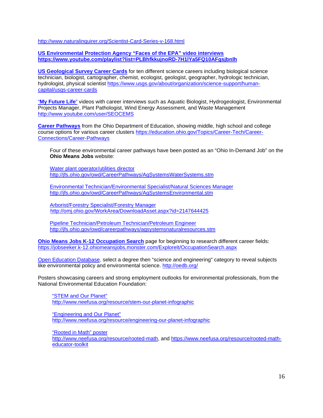<http://www.naturalinquirer.org/Scientist-Card-Series-v-168.html>

**[US Environmental Protection Agency "Faces of the EPA" video interviews](https://www.youtube.com/playlist?list=PLBhfkkujnoRD-7H1lYa5FQ10AFgsjbnlh) <https://www.youtube.com/playlist?list=PLBhfkkujnoRD-7H1lYa5FQ10AFgsjbnlh>**

**[US Geological Survey Career Cards](https://www.usgs.gov/about/organization/science-support/human-capital/usgs-career-cards)** for ten different science careers including biological science technician, biologist, cartographer, chemist, ecologist, geologist, geographer, hydrologic technician, hydrologist, physical scientist [https://www.usgs.gov/about/organization/science-support/human](https://www.usgs.gov/about/organization/science-support/human-capital/usgs-career-cards)[capital/usgs-career-cards](https://www.usgs.gov/about/organization/science-support/human-capital/usgs-career-cards) 

"**[My Future Life](http://www.youtube.com/user/SEOCEMS)**" videos with career interviews such as Aquatic Biologist, Hydrogeologist, Environmental Projects Manager, Plant Pathologist, Wind Energy Assessment, and Waste Management <http://www.youtube.com/user/SEOCEMS>

**[Career Pathways](https://education.ohio.gov/Topics/Career-Tech/Career-Connections/Career-Pathways)** from the Ohio Department of Education, showing middle, high school and college course options for various career clusters [https://education.ohio.gov/Topics/Career-Tech/Career-](https://education.ohio.gov/Topics/Career-Tech/Career-Connections/Career-Pathways)[Connections/Career-Pathways](https://education.ohio.gov/Topics/Career-Tech/Career-Connections/Career-Pathways)

Four of these environmental career pathways have been posted as an "Ohio In-Demand Job" on the **Ohio Means Jobs** website:

[Water plant operator/utilities director](http://jfs.ohio.gov/owd/CareerPathways/AgSystemsWaterSystems.stm) <http://jfs.ohio.gov/owd/CareerPathways/AgSystemsWaterSystems.stm>

[Environmental Technician/Environmental Specialist/Natural Sciences Manager](http://jfs.ohio.gov/owd/CareerPathways/AgSystemsEnvironmental.stm) <http://jfs.ohio.gov/owd/CareerPathways/AgSystemsEnvironmental.stm>

[Arborist/Forestry Specialist/Forestry Manager](http://omj.ohio.gov/WorkArea/DownloadAsset.aspx?id=2147644425)  <http://omj.ohio.gov/WorkArea/DownloadAsset.aspx?id=2147644425>

[Pipeline Technician/Petroleum Technician/Petroleum Engineer](http://jfs.ohio.gov/owd/careerpathways/agsystemsnaturalresources.stm) <http://jfs.ohio.gov/owd/careerpathways/agsystemsnaturalresources.stm>

**[Ohio Means Jobs K-12 Occupation Search](https://jobseeker.k-12.ohiomeansjobs.monster.com/ExploreIt/OccupationSearch.aspx)** page for beginning to research different career fields: <https://jobseeker.k-12.ohiomeansjobs.monster.com/ExploreIt/OccupationSearch.aspx>

[Open Education Database,](http://oedb.org/) select a degree then "science and engineering" category to reveal subjects like environmental policy and environmental science.<http://oedb.org/>

Posters showcasing careers and strong employment outlooks for environmental professionals, from the National Environmental Education Foundation:

["STEM and Our Planet"](http://www.neefusa.org/resource/stem-our-planet-infographic) <http://www.neefusa.org/resource/stem-our-planet-infographic>

["Engineering and Our Planet"](http://www.neefusa.org/resource/engineering-our-planet-infographic) <http://www.neefusa.org/resource/engineering-our-planet-infographic>

["Rooted in Math" poster](http://www.neefusa.org/resource/rooted-math) [http://www.neefusa.org/resource/rooted-math,](http://www.neefusa.org/resource/rooted-math) and [https://www.neefusa.org/resource/rooted-math](https://www.neefusa.org/resource/rooted-math-educator-toolkit)[educator-toolkit](https://www.neefusa.org/resource/rooted-math-educator-toolkit)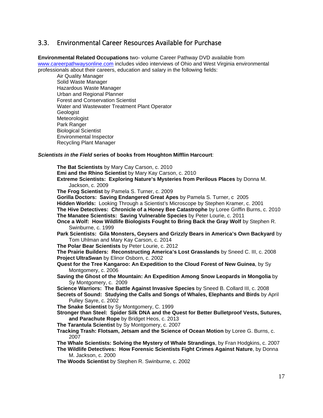#### <span id="page-16-0"></span>3.3. Environmental Career Resources Available for Purchase

**Environmental Related Occupations** two- volume Career Pathway DVD available from [www.careerpathwaysonline.com](http://www.careerpathwaysonline.com/) includes video interviews of Ohio and West Virginia environmental professionals about their careers, education and salary in the following fields:

Air Quality Manager Solid Waste Manager Hazardous Waste Manager Urban and Regional Planner Forest and Conservation Scientist Water and Wastewater Treatment Plant Operator Geologist Meteorologist Park Ranger Biological Scientist Environmental Inspector Recycling Plant Manager

#### *Scientists in the Field* **series of books from Houghton Mifflin Harcourt**:

**The Bat Scientists** by Mary Cay Carson, c. 2010 **Emi and the Rhino Scientist** by Mary Kay Carson, c. 2010 **Extreme Scientists: Exploring Nature's Mysteries from Perilous Places** by Donna M. Jackson, c. 2009 **The Frog Scientist** by Pamela S. Turner, c. 2009 **Gorilla Doctors: Saving Endangered Great Apes** by Pamela S. Turner, c 2005 **Hidden Worlds:** Looking Through a Scientist's Microscope by Stephen Kramer, c. 2001 **The Hive Detectives: Chronicle of a Honey Bee Catastrophe** by Loree Griffin Burns, c. 2010 **The Manatee Scientists: Saving Vulnerable Species** by Peter Lourie, c. 2011 **Once a Wolf: How Wildlife Biologists Fought to Bring Back the Gray Wolf** by Stephen R. Swinburne, c. 1999 **Park Scientists: Gila Monsters, Geysers and Grizzly Bears in America's Own Backyard** by Tom Uhlman and Mary Kay Carson, c. 2014 **The Polar Bear Scientists** by Peter Lourie, c. 2012 **The Prairie Builders: Reconstructing America's Lost Grasslands** by Sneed C. III, c. 2008 **Project UltraSwan** by Elinor Osborn, c. 2002 **Quest for the Tree Kangaroo: An Expedition to the Cloud Forest of New Guinea**, by Sy Montgomery, c. 2006 **Saving the Ghost of the Mountain: An Expedition Among Snow Leopards in Mongolia** by Sy Montgomery, c. 2009 **Science Warriors: The Battle Against Invasive Species** by Sneed B. Collard III, c. 2008 **Secrets of Sound: Studying the Calls and Songs of Whales, Elephants and Birds** by April Pulley Sayre, c. 2002 **The Snake Scientist** by Sy Montgomery, C. 1999 **Stronger than Steel: Spider Silk DNA and the Quest for Better Bulletproof Vests, Sutures, and Parachute Rope** by Bridget Heos, c. 2013 **The Tarantula Scientist** by Sy Montgomery, c. 2007 **Tracking Trash: Flotsam, Jetsam and the Science of Ocean Motion** by Loree G. Burns, c. 2007 **The Whale Scientists: Solving the Mystery of Whale Strandings**, by Fran Hodgkins, c. 2007 **The Wildlife Detectives: How Forensic Scientists Fight Crimes Against Nature**, by Donna M. Jackson, c. 2000 **The Woods Scientist** by Stephen R. Swinburne, c. 2002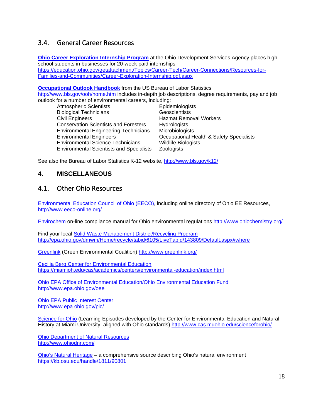#### 3.4. General Career Resources

**[Ohio Career Exploration Internship Program](https://education.ohio.gov/getattachment/Topics/Career-Tech/Career-Connections/Resources-for-Families-and-Communities/Career-Exploration-Internship.pdf.aspx)** at the Ohio Development Services Agency places high school students in businesses for 20-week paid internships [https://education.ohio.gov/getattachment/Topics/Career-Tech/Career-Connections/Resources-for-](https://education.ohio.gov/getattachment/Topics/Career-Tech/Career-Connections/Resources-for-Families-and-Communities/Career-Exploration-Internship.pdf.aspx)[Families-and-Communities/Career-Exploration-Internship.pdf.aspx](https://education.ohio.gov/getattachment/Topics/Career-Tech/Career-Connections/Resources-for-Families-and-Communities/Career-Exploration-Internship.pdf.aspx)

**[Occupational Outlook Handbook](http://www.bls.gov/ooh/home.htm)** from the US Bureau of Labor Statistics <http://www.bls.gov/ooh/home.htm> includes in-depth job descriptions, degree requirements, pay and job outlook for a number of environmental careers, including:

| . .o. a namoor or onvironmontal carooro, including. |                                          |  |  |
|-----------------------------------------------------|------------------------------------------|--|--|
| <b>Atmospheric Scientists</b>                       | <b>Epidemiologists</b>                   |  |  |
| <b>Biological Technicians</b>                       | Geoscientists                            |  |  |
| <b>Civil Engineers</b>                              | <b>Hazmat Removal Workers</b>            |  |  |
| <b>Conservation Scientists and Foresters</b>        | <b>Hydrologists</b>                      |  |  |
| <b>Environmental Engineering Technicians</b>        | Microbiologists                          |  |  |
| <b>Environmental Engineers</b>                      | Occupational Health & Safety Specialists |  |  |
| <b>Environmental Science Technicians</b>            | <b>Wildlife Biologists</b>               |  |  |
| <b>Environmental Scientists and Specialists</b>     | Zoologists                               |  |  |
|                                                     |                                          |  |  |

See also the Bureau of Labor Statistics K-12 website,<http://www.bls.gov/k12/>

#### <span id="page-17-1"></span><span id="page-17-0"></span>**4. MISCELLANEOUS**

#### 4.1. Other Ohio Resources

[Environmental Education Council of Ohio \(EECO\),](http://www.eeco-online.org/) including online directory of Ohio EE Resources, <http://www.eeco-online.org/>

[Envirochem](http://www.ohiochemistry.org/) on-line compliance manual for Ohio environmental regulations<http://www.ohiochemistry.org/>

Find your local Solid Waste [Management District/Recycling](http://epa.ohio.gov/dmwm/Home/recycle/tabid/6105/LiveTabId/143809/Default.aspx#where) Program <http://epa.ohio.gov/dmwm/Home/recycle/tabid/6105/LiveTabId/143809/Default.aspx#where>

[Greenlink](http://www.greenlink.org/) (Green Environmental Coalition)<http://www.greenlink.org/>

Cecilia [Berg Center for Environmental Education](https://miamioh.edu/cas/academics/centers/environmental-education/index.html) <https://miamioh.edu/cas/academics/centers/environmental-education/index.html>

Ohio EPA Office of Environmental Education/Ohio Environmental Education Fund http://www.epa.ohio.gov/oee

Ohio EPA [Public Interest Center](http://www.epa.ohio.gov/pic/) http://www.epa.ohio.gov/pic/

Science [for Ohio](http://www.cas.muohio.edu/scienceforohio/) (Learning Episodes developed by the Center for Environmental Education and Natural History at Miami University, aligned with Ohio standards) <http://www.cas.muohio.edu/scienceforohio/>

[Ohio Department of Natural Resources](http://www.ohiodnr.com/) <http://www.ohiodnr.com/>

[Ohio's Natural Heritage](https://kb.osu.edu/handle/1811/90801) – a comprehensive source describing Ohio's natural environment <https://kb.osu.edu/handle/1811/90801>